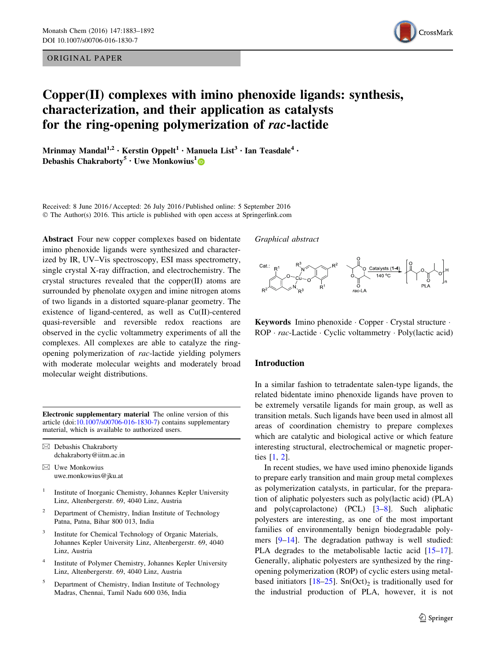ORIGINAL PAPER



# Copper(II) complexes with imino phenoxide ligands: synthesis, characterization, and their application as catalysts for the ring-opening polymerization of rac-lactide

Mrinmay Mandal<sup>1,2</sup> • Kerstin Oppelt<sup>1</sup> • Manuela List<sup>3</sup> • Ian Teasdale<sup>4</sup> • Debashis Chakraborty<sup>5</sup> • Uwe Monkowius<sup>1</sup>

Received: 8 June 2016 / Accepted: 26 July 2016 / Published online: 5 September 2016 © The Author(s) 2016. This article is published with open access at Springerlink.com

Abstract Four new copper complexes based on bidentate imino phenoxide ligands were synthesized and characterized by IR, UV–Vis spectroscopy, ESI mass spectrometry, single crystal X-ray diffraction, and electrochemistry. The crystal structures revealed that the copper(II) atoms are surrounded by phenolate oxygen and imine nitrogen atoms of two ligands in a distorted square-planar geometry. The existence of ligand-centered, as well as Cu(II)-centered quasi-reversible and reversible redox reactions are observed in the cyclic voltammetry experiments of all the complexes. All complexes are able to catalyze the ringopening polymerization of rac-lactide yielding polymers with moderate molecular weights and moderately broad molecular weight distributions.

Electronic supplementary material The online version of this article (doi:[10.1007/s00706-016-1830-7\)](http://dx.doi.org/10.1007/s00706-016-1830-7) contains supplementary material, which is available to authorized users.

 $\boxtimes$  Debashis Chakraborty dchakraborty@iitm.ac.in

- $\boxtimes$  Uwe Monkowius uwe.monkowius@jku.at
- <sup>1</sup> Institute of Inorganic Chemistry, Johannes Kepler University Linz, Altenbergerstr. 69, 4040 Linz, Austria
- <sup>2</sup> Department of Chemistry, Indian Institute of Technology Patna, Patna, Bihar 800 013, India
- Institute for Chemical Technology of Organic Materials, Johannes Kepler University Linz, Altenbergerstr. 69, 4040 Linz, Austria
- Institute of Polymer Chemistry, Johannes Kepler University Linz, Altenbergerstr. 69, 4040 Linz, Austria
- <sup>5</sup> Department of Chemistry, Indian Institute of Technology Madras, Chennai, Tamil Nadu 600 036, India

Graphical abstract



Keywords Imino phenoxide · Copper · Crystal structure · ROP · rac-Lactide · Cyclic voltammetry · Poly(lactic acid)

#### Introduction

In a similar fashion to tetradentate salen-type ligands, the related bidentate imino phenoxide ligands have proven to be extremely versatile ligands for main group, as well as transition metals. Such ligands have been used in almost all areas of coordination chemistry to prepare complexes which are catalytic and biological active or which feature interesting structural, electrochemical or magnetic properties [[1,](#page-8-0) [2\]](#page-8-0).

In recent studies, we have used imino phenoxide ligands to prepare early transition and main group metal complexes as polymerization catalysts, in particular, for the preparation of aliphatic polyesters such as poly(lactic acid) (PLA) and poly(caprolactone) (PCL) [\[3–8](#page-8-0)]. Such aliphatic polyesters are interesting, as one of the most important families of environmentally benign biodegradable polymers [\[9–14](#page-8-0)]. The degradation pathway is well studied: PLA degrades to the metabolisable lactic acid [\[15–17](#page-8-0)]. Generally, aliphatic polyesters are synthesized by the ringopening polymerization (ROP) of cyclic esters using metalbased initiators  $[18–25]$  $[18–25]$ . Sn(Oct)<sub>2</sub> is traditionally used for the industrial production of PLA, however, it is not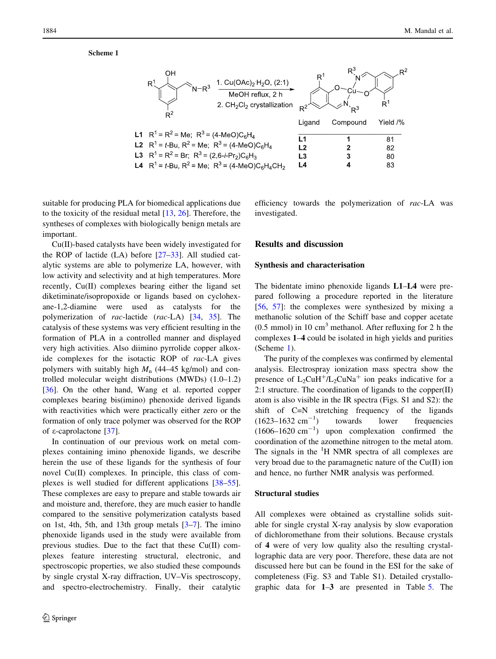**Scheme 1**



suitable for producing PLA for biomedical applications due to the toxicity of the residual metal [[13,](#page-8-0) [26\]](#page-8-0). Therefore, the syntheses of complexes with biologically benign metals are important.

Cu(II)-based catalysts have been widely investigated for the ROP of lactide (LA) before [[27–33\]](#page-8-0). All studied catalytic systems are able to polymerize LA, however, with low activity and selectivity and at high temperatures. More recently, Cu(II) complexes bearing either the ligand set diketiminate/isopropoxide or ligands based on cyclohexane-1,2-diamine were used as catalysts for the polymerization of rac-lactide (rac-LA) [\[34](#page-8-0), [35\]](#page-8-0). The catalysis of these systems was very efficient resulting in the formation of PLA in a controlled manner and displayed very high activities. Also diimino pyrrolide copper alkoxide complexes for the isotactic ROP of rac-LA gives polymers with suitably high  $M_n$  (44–45 kg/mol) and controlled molecular weight distributions (MWDs) (1.0–1.2) [\[36](#page-8-0)]. On the other hand, Wang et al. reported copper complexes bearing bis(imino) phenoxide derived ligands with reactivities which were practically either zero or the formation of only trace polymer was observed for the ROP of e-caprolactone [\[37](#page-8-0)].

In continuation of our previous work on metal complexes containing imino phenoxide ligands, we describe herein the use of these ligands for the synthesis of four novel Cu(II) complexes. In principle, this class of complexes is well studied for different applications [\[38–55](#page-8-0)]. These complexes are easy to prepare and stable towards air and moisture and, therefore, they are much easier to handle compared to the sensitive polymerization catalysts based on 1st, 4th, 5th, and 13th group metals [[3–7\]](#page-8-0). The imino phenoxide ligands used in the study were available from previous studies. Due to the fact that these Cu(II) complexes feature interesting structural, electronic, and spectroscopic properties, we also studied these compounds by single crystal X-ray diffraction, UV–Vis spectroscopy, and spectro-electrochemistry. Finally, their catalytic efficiency towards the polymerization of rac-LA was investigated.

# Results and discussion

#### Synthesis and characterisation

The bidentate imino phenoxide ligands L1–L4 were prepared following a procedure reported in the literature [\[56](#page-8-0), [57](#page-9-0)]: the complexes were synthesized by mixing a methanolic solution of the Schiff base and copper acetate  $(0.5 \text{ mmol})$  in 10 cm<sup>3</sup> methanol. After refluxing for 2 h the complexes 1–4 could be isolated in high yields and purities (Scheme 1).

The purity of the complexes was confirmed by elemental analysis. Electrospray ionization mass spectra show the presence of  $L_2CuH^+/L_2CuNa^+$  ion peaks indicative for a 2:1 structure. The coordination of ligands to the copper $(II)$ atom is also visible in the IR spectra (Figs. S1 and S2): the shift of C=N stretching frequency of the ligands  $(1623-1632 \text{ cm}^{-1})$ ) towards lower frequencies  $(1606-1620 \text{ cm}^{-1})$  upon complexation confirmed the coordination of the azomethine nitrogen to the metal atom. The signals in the  ${}^{1}$ H NMR spectra of all complexes are very broad due to the paramagnetic nature of the Cu(II) ion and hence, no further NMR analysis was performed.

#### Structural studies

All complexes were obtained as crystalline solids suitable for single crystal X-ray analysis by slow evaporation of dichloromethane from their solutions. Because crystals of 4 were of very low quality also the resulting crystallographic data are very poor. Therefore, these data are not discussed here but can be found in the ESI for the sake of completeness (Fig. S3 and Table S1). Detailed crystallographic data for 1–3 are presented in Table [5](#page-7-0). The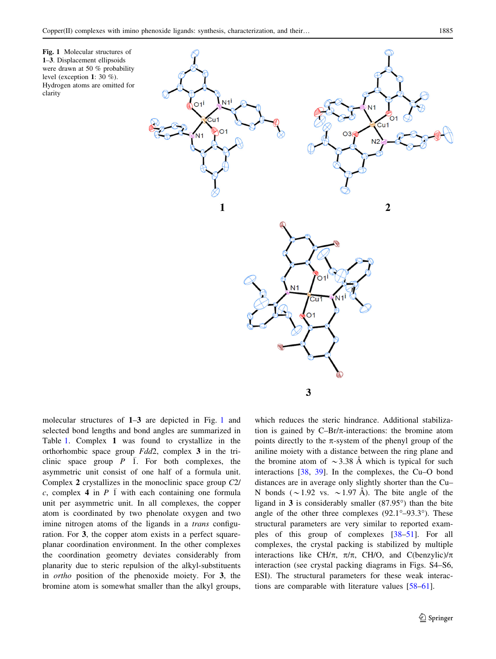

molecular structures of 1–3 are depicted in Fig. 1 and selected bond lengths and bond angles are summarized in Table [1](#page-3-0). Complex 1 was found to crystallize in the orthorhombic space group Fdd2, complex 3 in the triclinic space group  $P$   $\overline{1}$ . For both complexes, the asymmetric unit consist of one half of a formula unit. Complex 2 crystallizes in the monoclinic space group C2/ c, complex 4 in  $P \bar{1}$  with each containing one formula unit per asymmetric unit. In all complexes, the copper atom is coordinated by two phenolate oxygen and two imine nitrogen atoms of the ligands in a *trans* configuration. For 3, the copper atom exists in a perfect squareplanar coordination environment. In the other complexes the coordination geometry deviates considerably from planarity due to steric repulsion of the alkyl-substituents in ortho position of the phenoxide moiety. For 3, the bromine atom is somewhat smaller than the alkyl groups,

which reduces the steric hindrance. Additional stabilization is gained by  $C-Pr/\pi$ -interactions: the bromine atom points directly to the  $\pi$ -system of the phenyl group of the aniline moiety with a distance between the ring plane and the bromine atom of  $\sim$ 3.38 Å which is typical for such interactions [[38,](#page-8-0) [39](#page-8-0)]. In the complexes, the Cu–O bond distances are in average only slightly shorter than the Cu– N bonds ( $\sim$ 1.92 vs.  $\sim$ 1.97 Å). The bite angle of the ligand in 3 is considerably smaller  $(87.95^{\circ})$  than the bite angle of the other three complexes  $(92.1^{\circ}-93.3^{\circ})$ . These structural parameters are very similar to reported examples of this group of complexes [[38–51\]](#page-8-0). For all complexes, the crystal packing is stabilized by multiple interactions like CH/ $\pi$ ,  $\pi/\pi$ , CH/O, and C(benzylic)/ $\pi$ interaction (see crystal packing diagrams in Figs. S4–S6, ESI). The structural parameters for these weak interactions are comparable with literature values [[58–61](#page-9-0)].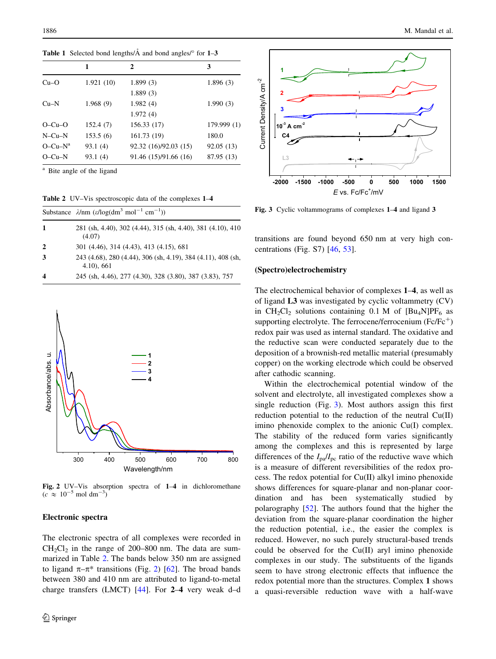<span id="page-3-0"></span>**Table 1** Selected bond lengths/ $\AA$  and bond angles/ $\degree$  for 1–3

|              | 1         | 2                     | 3           |
|--------------|-----------|-----------------------|-------------|
| $Cu-O$       | 1.921(10) | 1.899(3)              | 1.896(3)    |
|              |           | 1.889(3)              |             |
| $Cu-N$       | 1.968(9)  | 1.982(4)              | 1.990(3)    |
|              |           | 1.972(4)              |             |
| $O-Cu-O$     | 152.4(7)  | 156.33 (17)           | 179.999 (1) |
| $N$ –Cu– $N$ | 153.5(6)  | 161.73 (19)           | 180.0       |
| $O-Cu-N^a$   | 93.1(4)   | 92.32 (16)/92.03 (15) | 92.05 (13)  |
| $O-Cu-N$     | 93.1(4)   | 91.46 (15)/91.66 (16) | 87.95 (13)  |

<sup>a</sup> Bite angle of the ligand

| <b>Table 2</b> UV–Vis spectroscopic data of the complexes 1–4 |  |
|---------------------------------------------------------------|--|
|---------------------------------------------------------------|--|

|                         | Substance $\lambda$ /nm ( $\varepsilon$ /log(dm <sup>3</sup> mol <sup>-1</sup> cm <sup>-1</sup> )) |
|-------------------------|----------------------------------------------------------------------------------------------------|
| -1                      | 281 (sh, 4.40), 302 (4.44), 315 (sh, 4.40), 381 (4.10), 410<br>(4.07)                              |
| $\mathbf{2}$            | 301 (4.46), 314 (4.43), 413 (4.15), 681                                                            |
| 3                       | 243 (4.68), 280 (4.44), 306 (sh, 4.19), 384 (4.11), 408 (sh,<br>$4.10$ , 661                       |
| $\overline{\mathbf{4}}$ | 245 (sh, 4.46), 277 (4.30), 328 (3.80), 387 (3.83), 757                                            |



Fig. 2 UV–Vis absorption spectra of 1–4 in dichloromethane  $(c \approx 10^{-5} \text{ mol dm}^{-3})$ 

## Electronic spectra

The electronic spectra of all complexes were recorded in  $CH_2Cl_2$  in the range of 200–800 nm. The data are summarized in Table 2. The bands below 350 nm are assigned to ligand  $\pi-\pi^*$  transitions (Fig. 2) [\[62\]](#page-9-0). The broad bands between 380 and 410 nm are attributed to ligand-to-metal charge transfers (LMCT) [\[44](#page-8-0)]. For 2–4 very weak d–d



Fig. 3 Cyclic voltammograms of complexes 1–4 and ligand 3

transitions are found beyond 650 nm at very high concentrations (Fig. S7) [\[46](#page-8-0), [53](#page-8-0)].

#### (Spectro)electrochemistry

The electrochemical behavior of complexes 1–4, as well as of ligand L3 was investigated by cyclic voltammetry (CV) in  $CH_2Cl_2$  solutions containing 0.1 M of  $[Bu_4N]PF_6$  as supporting electrolyte. The ferrocene/ferrocenium (Fc/Fc<sup>+</sup>) redox pair was used as internal standard. The oxidative and the reductive scan were conducted separately due to the deposition of a brownish-red metallic material (presumably copper) on the working electrode which could be observed after cathodic scanning.

Within the electrochemical potential window of the solvent and electrolyte, all investigated complexes show a single reduction (Fig. 3). Most authors assign this first reduction potential to the reduction of the neutral Cu(II) imino phenoxide complex to the anionic Cu(I) complex. The stability of the reduced form varies significantly among the complexes and this is represented by large differences of the  $I_{pa}/I_{pc}$  ratio of the reductive wave which is a measure of different reversibilities of the redox process. The redox potential for Cu(II) alkyl imino phenoxide shows differences for square-planar and non-planar coordination and has been systematically studied by polarography [[52\]](#page-8-0). The authors found that the higher the deviation from the square-planar coordination the higher the reduction potential, i.e., the easier the complex is reduced. However, no such purely structural-based trends could be observed for the Cu(II) aryl imino phenoxide complexes in our study. The substituents of the ligands seem to have strong electronic effects that influence the redox potential more than the structures. Complex 1 shows a quasi-reversible reduction wave with a half-wave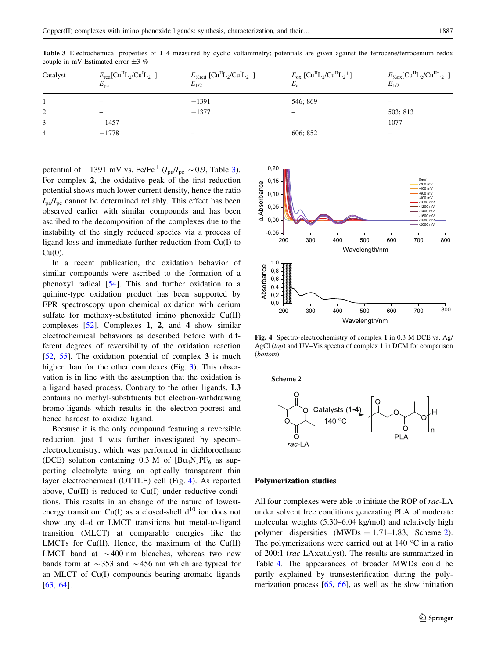| Catalyst       | $E_{\text{red}}[\text{Cu}^{\text{II}}\text{L}_2/\text{Cu}^{\text{I}}\text{L}_2]$<br>$E_{\rm pc}$ | $E_{\frac{1}{2} \text{red}} [\text{Cu}^{\text{II}} \text{L}_{2}/\text{Cu}^{\text{I}} \text{L}_{2}]$<br>$E_{1/2}$ | $E_{\rm ox}$ [Cu <sup>II</sup> L <sub>2</sub> /Cu <sup>II</sup> L <sub>2</sub> <sup>+</sup> ]<br>$E_{\rm a}$ | $E_{\frac{1}{2} \text{ox}}[\text{Cu}^{\text{II}} \text{L}_{2}/\text{Cu}^{\text{II}} \text{L}_{2}^+]$<br>$E_{1/2}$ |
|----------------|--------------------------------------------------------------------------------------------------|------------------------------------------------------------------------------------------------------------------|--------------------------------------------------------------------------------------------------------------|-------------------------------------------------------------------------------------------------------------------|
|                | $\overline{\phantom{0}}$                                                                         | $-1391$                                                                                                          | 546; 869                                                                                                     |                                                                                                                   |
| 2              | -                                                                                                | $-1377$                                                                                                          |                                                                                                              | 503: 813                                                                                                          |
| 3              | $-1457$                                                                                          | $\overline{\phantom{0}}$                                                                                         |                                                                                                              | 1077                                                                                                              |
| $\overline{4}$ | $-1778$                                                                                          | -                                                                                                                | 606; 852                                                                                                     | -                                                                                                                 |

Table 3 Electrochemical properties of 1–4 measured by cyclic voltammetry; potentials are given against the ferrocene/ferrocenium redox couple in mV Estimated error  $\pm 3$  %

potential of  $-1391$  mV vs. Fc/Fc<sup>+</sup> ( $I_{pa}/I_{pc} \sim 0.9$ , Table 3). For complex 2, the oxidative peak of the first reduction potential shows much lower current density, hence the ratio  $I_{pa}/I_{pc}$  cannot be determined reliably. This effect has been observed earlier with similar compounds and has been ascribed to the decomposition of the complexes due to the instability of the singly reduced species via a process of ligand loss and immediate further reduction from Cu(I) to  $Cu(0)$ .

In a recent publication, the oxidation behavior of similar compounds were ascribed to the formation of a phenoxyl radical [\[54](#page-8-0)]. This and further oxidation to a quinine-type oxidation product has been supported by EPR spectroscopy upon chemical oxidation with cerium sulfate for methoxy-substituted imino phenoxide Cu(II) complexes [\[52](#page-8-0)]. Complexes 1, 2, and 4 show similar electrochemical behaviors as described before with different degrees of reversibility of the oxidation reaction [\[52](#page-8-0), [55](#page-8-0)]. The oxidation potential of complex 3 is much higher than for the other complexes (Fig. [3\)](#page-3-0). This observation is in line with the assumption that the oxidation is a ligand based process. Contrary to the other ligands, L3 contains no methyl-substituents but electron-withdrawing bromo-ligands which results in the electron-poorest and hence hardest to oxidize ligand.

Because it is the only compound featuring a reversible reduction, just 1 was further investigated by spectroelectrochemistry, which was performed in dichloroethane (DCE) solution containing  $0.3$  M of  $[Bu_4N]PF_6$  as supporting electrolyte using an optically transparent thin layer electrochemical (OTTLE) cell (Fig. 4). As reported above, Cu(II) is reduced to Cu(I) under reductive conditions. This results in an change of the nature of lowestenergy transition: Cu(I) as a closed-shell  $d^{10}$  ion does not show any d–d or LMCT transitions but metal-to-ligand transition (MLCT) at comparable energies like the LMCTs for Cu(II). Hence, the maximum of the Cu(II) LMCT band at  $\sim$  400 nm bleaches, whereas two new bands form at  $\sim$ 353 and  $\sim$ 456 nm which are typical for an MLCT of Cu(I) compounds bearing aromatic ligands [\[63](#page-9-0), [64\]](#page-9-0).



Fig. 4 Spectro-electrochemistry of complex 1 in 0.3 M DCE vs. Ag/ AgCl (top) and UV–Vis spectra of complex 1 in DCM for comparison (bottom)



#### Polymerization studies

All four complexes were able to initiate the ROP of rac-LA under solvent free conditions generating PLA of moderate molecular weights (5.30–6.04 kg/mol) and relatively high polymer dispersities  $(MWDs = 1.71-1.83,$  Scheme 2). The polymerizations were carried out at  $140^{\circ}$ C in a ratio of 200:1 (rac-LA:catalyst). The results are summarized in Table [4](#page-5-0). The appearances of broader MWDs could be partly explained by transesterification during the polymerization process [[65,](#page-9-0) [66\]](#page-9-0), as well as the slow initiation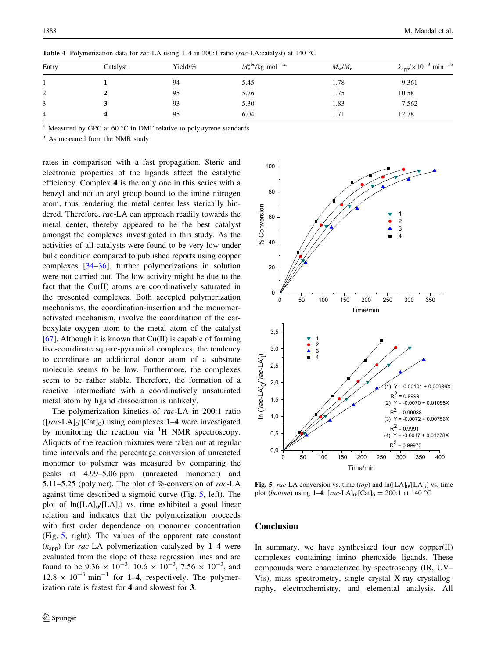| Entry | Catalyst | Yield/% | $M_{\rm n}^{\rm obs}$ /kg mol $^{-1a}$ | $M_{\rm w}/M_{\rm n}$ | $k_{\rm app}/\times 10^{-3}$ min <sup>-1b</sup> |
|-------|----------|---------|----------------------------------------|-----------------------|-------------------------------------------------|
|       |          | 94      | 5.45                                   | 1.78                  | 9.361                                           |
| 2     |          | 95      | 5.76                                   | 1.75                  | 10.58                                           |
| 3     |          | 93      | 5.30                                   | 1.83                  | 7.562                                           |
| 4     |          | 95      | 6.04                                   | 1.71                  | 12.78                                           |
|       |          |         |                                        |                       |                                                 |

<span id="page-5-0"></span>Table 4 Polymerization data for rac-LA using  $1-4$  in 200:1 ratio (rac-LA:catalyst) at 140 °C

Measured by GPC at 60 $\degree$ C in DMF relative to polystyrene standards

<sup>b</sup> As measured from the NMR study

rates in comparison with a fast propagation. Steric and electronic properties of the ligands affect the catalytic efficiency. Complex 4 is the only one in this series with a benzyl and not an aryl group bound to the imine nitrogen atom, thus rendering the metal center less sterically hindered. Therefore, rac-LA can approach readily towards the metal center, thereby appeared to be the best catalyst amongst the complexes investigated in this study. As the activities of all catalysts were found to be very low under bulk condition compared to published reports using copper complexes [\[34–36](#page-8-0)], further polymerizations in solution were not carried out. The low activity might be due to the fact that the Cu(II) atoms are coordinatively saturated in the presented complexes. Both accepted polymerization mechanisms, the coordination-insertion and the monomeractivated mechanism, involve the coordination of the carboxylate oxygen atom to the metal atom of the catalyst [\[67](#page-9-0)]. Although it is known that  $Cu(II)$  is capable of forming five-coordinate square-pyramidal complexes, the tendency to coordinate an additional donor atom of a substrate molecule seems to be low. Furthermore, the complexes seem to be rather stable. Therefore, the formation of a reactive intermediate with a coordinatively unsaturated metal atom by ligand dissociation is unlikely.

The polymerization kinetics of rac-LA in 200:1 ratio  $([rac-LA]_0:[Cat]_0)$  using complexes 1–4 were investigated by monitoring the reaction via <sup>1</sup>H NMR spectroscopy. Aliquots of the reaction mixtures were taken out at regular time intervals and the percentage conversion of unreacted monomer to polymer was measured by comparing the peaks at 4.99–5.06 ppm (unreacted monomer) and 5.11–5.25 (polymer). The plot of %-conversion of rac-LA against time described a sigmoid curve (Fig. 5, left). The plot of  $ln([LA]_0/[LA]_t)$  vs. time exhibited a good linear relation and indicates that the polymerization proceeds with first order dependence on monomer concentration (Fig. 5, right). The values of the apparent rate constant  $(k<sub>apo</sub>)$  for *rac*-LA polymerization catalyzed by 1–4 were evaluated from the slope of these regression lines and are found to be  $9.36 \times 10^{-3}$ ,  $10.6 \times 10^{-3}$ ,  $7.56 \times 10^{-3}$ , and  $12.8 \times 10^{-3}$  min<sup>-1</sup> for **1-4**, respectively. The polymerization rate is fastest for 4 and slowest for 3.



Fig. 5 rac-LA conversion vs. time (top) and  $ln([LA]<sub>0</sub>/[LA]<sub>t</sub>)$  vs. time plot (*bottom*) using 1–4:  $[rac{\text{L}}{2}]_0$ :  $[Cat]_0 = 200$ :1 at 140 °C

# **Conclusion**

In summary, we have synthesized four new copper $(II)$ complexes containing imino phenoxide ligands. These compounds were characterized by spectroscopy (IR, UV– Vis), mass spectrometry, single crystal X-ray crystallography, electrochemistry, and elemental analysis. All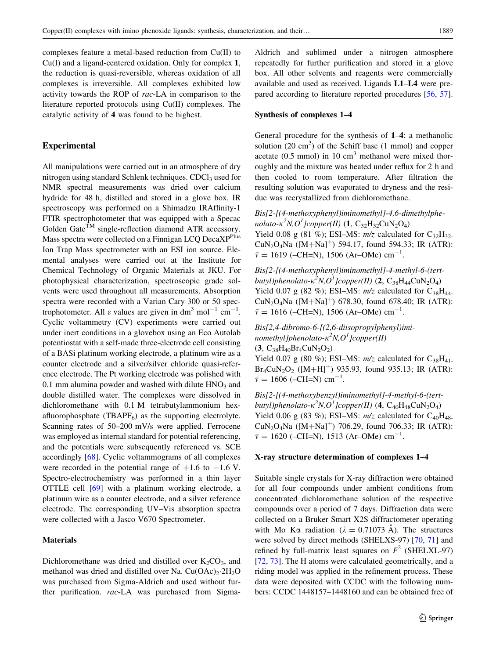complexes feature a metal-based reduction from Cu(II) to Cu(I) and a ligand-centered oxidation. Only for complex 1, the reduction is quasi-reversible, whereas oxidation of all complexes is irreversible. All complexes exhibited low activity towards the ROP of rac-LA in comparison to the literature reported protocols using Cu(II) complexes. The catalytic activity of 4 was found to be highest.

## Experimental

All manipulations were carried out in an atmosphere of dry nitrogen using standard Schlenk techniques.  $CDCl<sub>3</sub>$  used for NMR spectral measurements was dried over calcium hydride for 48 h, distilled and stored in a glove box. IR spectroscopy was performed on a Shimadzu IRAffinity-1 FTIR spectrophotometer that was equipped with a Specac Golden Gate $^{TM}$  single-reflection diamond ATR accessory. Mass spectra were collected on a Finnigan LCQ DecaXP<sup>Plus</sup> Ion Trap Mass spectrometer with an ESI ion source. Elemental analyses were carried out at the Institute for Chemical Technology of Organic Materials at JKU. For photophysical characterization, spectroscopic grade solvents were used throughout all measurements. Absorption spectra were recorded with a Varian Cary 300 or 50 spectrophotometer. All  $\varepsilon$  values are given in dm<sup>3</sup> mol<sup>-1</sup> cm<sup>-1</sup>. Cyclic voltammetry (CV) experiments were carried out under inert conditions in a glovebox using an Eco Autolab potentiostat with a self-made three-electrode cell consisting of a BASi platinum working electrode, a platinum wire as a counter electrode and a silver/silver chloride quasi-reference electrode. The Pt working electrode was polished with 0.1 mm alumina powder and washed with dilute  $HNO<sub>3</sub>$  and double distilled water. The complexes were dissolved in dichloromethane with 0.1 M tetrabutylammonium hexafluorophosphate  $(TBAPF_6)$  as the supporting electrolyte. Scanning rates of 50–200 mV/s were applied. Ferrocene was employed as internal standard for potential referencing, and the potentials were subsequently referenced vs. SCE accordingly [[68\]](#page-9-0). Cyclic voltammograms of all complexes were recorded in the potential range of  $+1.6$  to  $-1.6$  V. Spectro-electrochemistry was performed in a thin layer OTTLE cell [[69\]](#page-9-0) with a platinum working electrode, a platinum wire as a counter electrode, and a silver reference electrode. The corresponding UV–Vis absorption spectra were collected with a Jasco V670 Spectrometer.

## **Materials**

Dichloromethane was dried and distilled over  $K_2CO_3$ , and methanol was dried and distilled over Na.  $Cu(OAc)<sub>2</sub>·2H<sub>2</sub>O$ was purchased from Sigma-Aldrich and used without further purification. rac-LA was purchased from SigmaAldrich and sublimed under a nitrogen atmosphere repeatedly for further purification and stored in a glove box. All other solvents and reagents were commercially available and used as received. Ligands L1–L4 were prepared according to literature reported procedures [[56](#page-8-0), [57](#page-9-0)].

## Synthesis of complexes 1–4

General procedure for the synthesis of 1–4: a methanolic solution  $(20 \text{ cm}^3)$  of the Schiff base  $(1 \text{ mmol})$  and copper acetate  $(0.5 \text{ mmol})$  in 10 cm<sup>3</sup> methanol were mixed thoroughly and the mixture was heated under reflux for 2 h and then cooled to room temperature. After filtration the resulting solution was evaporated to dryness and the residue was recrystallized from dichloromethane.

Bis[2-[(4-methoxyphenyl)iminomethyl]-4,6-dimethylphenolato- $\kappa^2 N$ , $O^I$ ]copper(II) (1, C<sub>32</sub>H<sub>32</sub>CuN<sub>2</sub>O<sub>4</sub>) Yield 0.08 g (81 %); ESI–MS:  $m/z$  calculated for  $C_{32}H_{32}$ .  $CuN<sub>2</sub>O<sub>4</sub>Na$  ([M+Na]<sup>+</sup>) 594.17, found 594.33; IR (ATR):  $\bar{v} = 1619$  (-CH=N), 1506 (Ar-OMe) cm<sup>-1</sup>.

Bis[2-[(4-methoxyphenyl)iminomethyl]-4-methyl-6-(tertbutyl)phenolato- $\kappa^2 N, O^1$ ]copper(II) (2, C<sub>38</sub>H<sub>44</sub>CuN<sub>2</sub>O<sub>4</sub>) Yield 0.07 g (82 %); ESI-MS:  $m/z$  calculated for  $C_{38}H_{44}$ .  $CuN<sub>2</sub>O<sub>4</sub>Na$  ([M+Na]<sup>+</sup>) 678.30, found 678.40; IR (ATR):  $\bar{v} = 1616$  (-CH=N), 1506 (Ar-OMe) cm<sup>-1</sup>.

Bis[2,4-dibromo-6-[(2,6-diisopropylphenyl)iminomethyl]phenolato- $\kappa^2 N, O^1$ ]copper(II)  $(3, C_{38}H_{40}Br_4CuN_2O_2)$ 

Yield 0.07 g (80 %); ESI-MS:  $m/z$  calculated for  $C_{38}H_{41}$ .  $Br_4CuN_2O_2$  ( $[M+H]^+$ ) 935.93, found 935.13; IR (ATR):  $\bar{v} = 1606$  (–CH=N) cm<sup>-1</sup>.

Bis[2-[(4-methoxybenzyl)iminomethyl]-4-methyl-6-(tertbutyl)phenolato- $\kappa^2 N, O^1$ ]copper(II) (4, C<sub>40</sub>H<sub>48</sub>CuN<sub>2</sub>O<sub>4</sub>) Yield 0.06 g (83 %); ESI-MS:  $m/z$  calculated for C<sub>40</sub>H<sub>48</sub>. CuN<sub>2</sub>O<sub>4</sub>Na ( $[M+Na]^+$ ) 706.29, found 706.33; IR (ATR):  $\bar{v} = 1620$  (-CH=N), 1513 (Ar-OMe) cm<sup>-1</sup>.

## X-ray structure determination of complexes 1–4

Suitable single crystals for X-ray diffraction were obtained for all four compounds under ambient conditions from concentrated dichloromethane solution of the respective compounds over a period of 7 days. Diffraction data were collected on a Bruker Smart X2S diffractometer operating with Mo K $\alpha$  radiation ( $\lambda = 0.71073$  Å). The structures were solved by direct methods (SHELXS-97) [[70,](#page-9-0) [71](#page-9-0)] and refined by full-matrix least squares on  $F^2$  (SHELXL-97) [\[72](#page-9-0), [73](#page-9-0)]. The H atoms were calculated geometrically, and a riding model was applied in the refinement process. These data were deposited with CCDC with the following numbers: CCDC 1448157–1448160 and can be obtained free of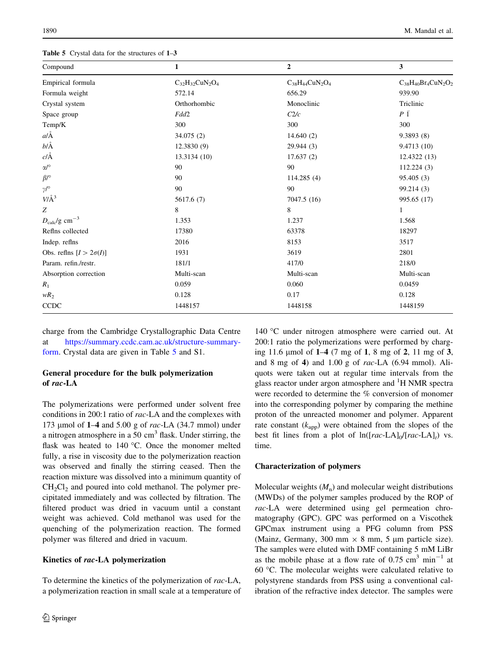<span id="page-7-0"></span>Table 5 Crystal data for the structures of  $1-3$ 

| Compound                       | 1                      | $\overline{2}$         | 3                          |
|--------------------------------|------------------------|------------------------|----------------------------|
| Empirical formula              | $C_{32}H_{32}CuN_2O_4$ | $C_{38}H_{44}CuN_2O_4$ | $C_{38}H_{40}Br_4CuN_2O_2$ |
| Formula weight                 | 572.14                 | 656.29                 | 939.90                     |
| Crystal system                 | Orthorhombic           | Monoclinic             | Triclinic                  |
| Space group                    | Fdd2                   | C2/c                   | $P\bar{1}$                 |
| Temp/K                         | 300                    | 300                    | 300                        |
| $a/\AA$                        | 34.075 (2)             | 14.640(2)              | 9.3893(8)                  |
| $b/\AA$                        | 12.3830(9)             | 29.944(3)              | 9.4713 (10)                |
| $c/\text{\AA}$                 | 13.3134 (10)           | 17.637(2)              | 12.4322 (13)               |
| $\alpha/^\circ$                | 90                     | 90                     | 112.224(3)                 |
| $\beta$ /°                     | 90                     | 114.285(4)             | 95.405(3)                  |
| $\gamma$ /°                    | 90                     | 90                     | 99.214(3)                  |
| $V/\AA$ <sup>3</sup>           | 5617.6 (7)             | 7047.5 (16)            | 995.65 (17)                |
| Ζ                              | 8                      | 8                      | 1                          |
| $D_{\rm calc}/g~{\rm cm}^{-3}$ | 1.353                  | 1.237                  | 1.568                      |
| Refins collected               | 17380                  | 63378                  | 18297                      |
| Indep. refins                  | 2016                   | 8153                   | 3517                       |
| Obs. reflns $[I > 2\sigma(I)]$ | 1931                   | 3619                   | 2801                       |
| Param. refin./restr.           | 181/1                  | 417/0                  | 218/0                      |
| Absorption correction          | Multi-scan             | Multi-scan             | Multi-scan                 |
| $R_1$                          | 0.059                  | 0.060                  | 0.0459                     |
| $wR_2$                         | 0.128                  | 0.17                   | 0.128                      |
| <b>CCDC</b>                    | 1448157                | 1448158                | 1448159                    |

charge from the Cambridge Crystallographic Data Centre at [https://summary.ccdc.cam.ac.uk/structure-summary](https://summary.ccdc.cam.ac.uk/structure-summary-form)[form](https://summary.ccdc.cam.ac.uk/structure-summary-form). Crystal data are given in Table 5 and S1.

# General procedure for the bulk polymerization of rac-LA

The polymerizations were performed under solvent free conditions in 200:1 ratio of rac-LA and the complexes with 173 µmol of  $1-4$  and  $5.00$  g of rac-LA (34.7 mmol) under a nitrogen atmosphere in a 50  $\text{cm}^3$  flask. Under stirring, the flask was heated to  $140^{\circ}$ C. Once the monomer melted fully, a rise in viscosity due to the polymerization reaction was observed and finally the stirring ceased. Then the reaction mixture was dissolved into a minimum quantity of  $CH<sub>2</sub>Cl<sub>2</sub>$  and poured into cold methanol. The polymer precipitated immediately and was collected by filtration. The filtered product was dried in vacuum until a constant weight was achieved. Cold methanol was used for the quenching of the polymerization reaction. The formed polymer was filtered and dried in vacuum.

#### Kinetics of rac-LA polymerization

To determine the kinetics of the polymerization of rac-LA, a polymerization reaction in small scale at a temperature of

140 °C under nitrogen atmosphere were carried out. At 200:1 ratio the polymerizations were performed by charging 11.6  $\mu$ mol of  $1-4$  (7 mg of 1, 8 mg of 2, 11 mg of 3, and 8 mg of 4) and 1.00 g of rac-LA (6.94 mmol). Aliquots were taken out at regular time intervals from the glass reactor under argon atmosphere and <sup>1</sup>H NMR spectra were recorded to determine the % conversion of monomer into the corresponding polymer by comparing the methine proton of the unreacted monomer and polymer. Apparent rate constant  $(k<sub>app</sub>)$  were obtained from the slopes of the best fit lines from a plot of  $ln([rac-LA]_0/[rac-LA]_t)$  vs. time.

#### Characterization of polymers

Molecular weights  $(M_n)$  and molecular weight distributions (MWDs) of the polymer samples produced by the ROP of rac-LA were determined using gel permeation chromatography (GPC). GPC was performed on a Viscothek GPCmax instrument using a PFG column from PSS (Mainz, Germany, 300 mm  $\times$  8 mm, 5 µm particle size). The samples were eluted with DMF containing 5 mM LiBr as the mobile phase at a flow rate of  $0.75 \text{ cm}^3 \text{ min}^{-1}$  at 60  $\degree$ C. The molecular weights were calculated relative to polystyrene standards from PSS using a conventional calibration of the refractive index detector. The samples were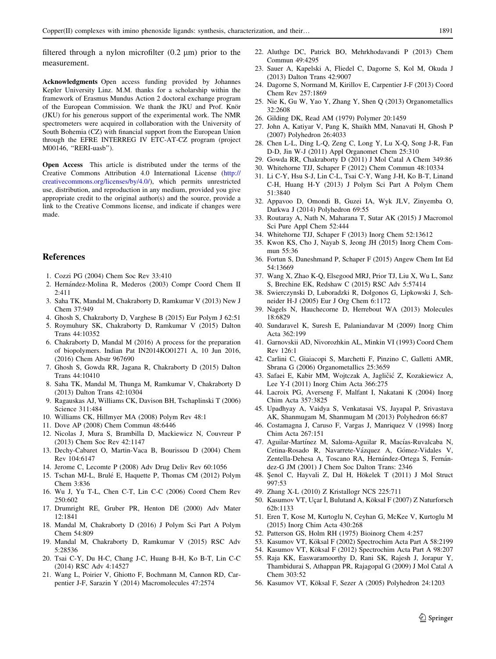<span id="page-8-0"></span>filtered through a nylon microfilter  $(0.2 \text{ nm})$  prior to the measurement.

Acknowledgments Open access funding provided by Johannes Kepler University Linz. M.M. thanks for a scholarship within the framework of Erasmus Mundus Action 2 doctoral exchange program of the European Commission. We thank the JKU and Prof. Knör (JKU) for his generous support of the experimental work. The NMR spectrometers were acquired in collaboration with the University of South Bohemia (CZ) with financial support from the European Union through the EFRE INTERREG IV ETC-AT-CZ program (project M00146, ''RERI-uasb'').

Open Access This article is distributed under the terms of the Creative Commons Attribution 4.0 International License ([http://](http://creativecommons.org/licenses/by/4.0/) [creativecommons.org/licenses/by/4.0/\)](http://creativecommons.org/licenses/by/4.0/), which permits unrestricted use, distribution, and reproduction in any medium, provided you give appropriate credit to the original author(s) and the source, provide a link to the Creative Commons license, and indicate if changes were made.

## References

- 1. Cozzi PG (2004) Chem Soc Rev 33:410
- 2. Hernández-Molina R, Mederos (2003) Compr Coord Chem II 2:411
- 3. Saha TK, Mandal M, Chakraborty D, Ramkumar V (2013) New J Chem 37:949
- 4. Ghosh S, Chakraborty D, Varghese B (2015) Eur Polym J 62:51
- 5. Roymuhury SK, Chakraborty D, Ramkumar V (2015) Dalton Trans 44:10352
- 6. Chakraborty D, Mandal M (2016) A process for the preparation of biopolymers. Indian Pat IN2014KO01271 A, 10 Jun 2016, (2016) Chem Abstr 967690
- 7. Ghosh S, Gowda RR, Jagana R, Chakraborty D (2015) Dalton Trans 44:10410
- 8. Saha TK, Mandal M, Thunga M, Ramkumar V, Chakraborty D (2013) Dalton Trans 42:10304
- 9. Ragauskas AJ, Williams CK, Davison BH, Tschaplinski T (2006) Science 311:484
- 10. Williams CK, Hillmyer MA (2008) Polym Rev 48:1
- 11. Dove AP (2008) Chem Commun 48:6446
- 12. Nicolas J, Mura S, Brambilla D, Mackiewicz N, Couvreur P (2013) Chem Soc Rev 42:1147
- 13. Dechy-Cabaret O, Martin-Vaca B, Bourissou D (2004) Chem Rev 104:6147
- 14. Jerome C, Lecomte P (2008) Adv Drug Deliv Rev 60:1056
- 15. Tschan MJ-L, Brulé E, Haquette P, Thomas CM (2012) Polym Chem 3:836
- 16. Wu J, Yu T-L, Chen C-T, Lin C-C (2006) Coord Chem Rev 250:602
- 17. Drumright RE, Gruber PR, Henton DE (2000) Adv Mater 12:1841
- 18. Mandal M, Chakraborty D (2016) J Polym Sci Part A Polym Chem 54:809
- 19. Mandal M, Chakraborty D, Ramkumar V (2015) RSC Adv 5:28536
- 20. Tsai C-Y, Du H-C, Chang J-C, Huang B-H, Ko B-T, Lin C-C (2014) RSC Adv 4:14527
- 21. Wang L, Poirier V, Ghiotto F, Bochmann M, Cannon RD, Carpentier J-F, Sarazin Y (2014) Macromolecules 47:2574
- 22. Aluthge DC, Patrick BO, Mehrkhodavandi P (2013) Chem Commun 49:4295
- 23. Sauer A, Kapelski A, Fliedel C, Dagorne S, Kol M, Okuda J (2013) Dalton Trans 42:9007
- 24. Dagorne S, Normand M, Kirillov E, Carpentier J-F (2013) Coord Chem Rev 257:1869
- 25. Nie K, Gu W, Yao Y, Zhang Y, Shen Q (2013) Organometallics 32:2608
- 26. Gilding DK, Read AM (1979) Polymer 20:1459
- 27. John A, Katiyar V, Pang K, Shaikh MM, Nanavati H, Ghosh P (2007) Polyhedron 26:4033
- 28. Chen L-L, Ding L-Q, Zeng C, Long Y, Lu X-Q, Song J-R, Fan D-D, Jin W-J (2011) Appl Organomet Chem 25:310
- 29. Gowda RR, Chakraborty D (2011) J Mol Catal A Chem 349:86
- 30. Whitehorne TJJ, Schaper F (2012) Chem Commun 48:10334
- 31. Li C-Y, Hsu S-J, Lin C-L, Tsai C-Y, Wang J-H, Ko B-T, Linand C-H, Huang H-Y (2013) J Polym Sci Part A Polym Chem 51:3840
- 32. Appavoo D, Omondi B, Guzei IA, Wyk JLV, Zinyemba O, Darkwa J (2014) Polyhedron 69:55
- 33. Routaray A, Nath N, Maharana T, Sutar AK (2015) J Macromol Sci Pure Appl Chem 52:444
- 34. Whitehorne TJJ, Schaper F (2013) Inorg Chem 52:13612
- 35. Kwon KS, Cho J, Nayab S, Jeong JH (2015) Inorg Chem Commun 55:36
- 36. Fortun S, Daneshmand P, Schaper F (2015) Angew Chem Int Ed 54:13669
- 37. Wang X, Zhao K-Q, Elsegood MRJ, Prior TJ, Liu X, Wu L, Sanz S, Brechine EK, Redshaw C (2015) RSC Adv 5:57414
- 38. Swierczynski D, Luboradzki R, Dolgonos G, Lipkowski J, Schneider H-J (2005) Eur J Org Chem 6:1172
- 39. Nagels N, Hauchecorne D, Herrebout WA (2013) Molecules 18:6829
- 40. Sundaravel K, Suresh E, Palaniandavar M (2009) Inorg Chim Acta 362:199
- 41. Garnovskii AD, Nivorozhkin AL, Minkin VI (1993) Coord Chem Rev 126:1
- 42. Carlini C, Giaiacopi S, Marchetti F, Pinzino C, Galletti AMR, Sbrana G (2006) Organometallics 25:3659
- 43. Safaei E, Kabir MM, Wojtczak A, Jagličić Z, Kozakiewicz A, Lee Y-I (2011) Inorg Chim Acta 366:275
- 44. Lacroix PG, Averseng F, Malfant I, Nakatani K (2004) Inorg Chim Acta 357:3825
- 45. Upadhyay A, Vaidya S, Venkatasai VS, Jayapal P, Srivastava AK, Shanmugam M, Shanmugam M (2013) Polyhedron 66:87
- 46. Costamagna J, Caruso F, Vargas J, Manriquez V (1998) Inorg Chim Acta 267:151
- 47. Aguilar-Martínez M, Saloma-Aguilar R, Macías-Ruvalcaba N, Cetina-Rosado R, Navarrete-Vázquez A, Gómez-Vidales V, Zentella-Dehesa A, Toscano RA, Hernández-Ortega S, Fernández-G JM (2001) J Chem Soc Dalton Trans: 2346
- 48. Şenol C, Hayvali Z, Dal H, Hökelek T (2011) J Mol Struct 997:53
- 49. Zhang X-L (2010) Z Kristallogr NCS 225:711
- 50. Kasumov VT, Uçar İ, Bulutand A, Köksal F (2007) Z Naturforsch 62b:1133
- 51. Eren T, Kose M, Kurtoglu N, Ceyhan G, McKee V, Kurtoglu M (2015) Inorg Chim Acta 430:268
- 52. Patterson GS, Holm RH (1975) Bioinorg Chem 4:257
- 53. Kasumov VT, Köksal F (2002) Spectrochim Acta Part A 58:2199
- 54. Kasumov VT, Köksal F (2012) Spectrochim Acta Part A 98:207
- 55. Raja KK, Easwaramoorthy D, Rani SK, Rajesh J, Jorapur Y, Thambidurai S, Athappan PR, Rajagopal G (2009) J Mol Catal A Chem 303:52
- 56. Kasumov VT, Köksal F, Sezer A (2005) Polyhedron 24:1203